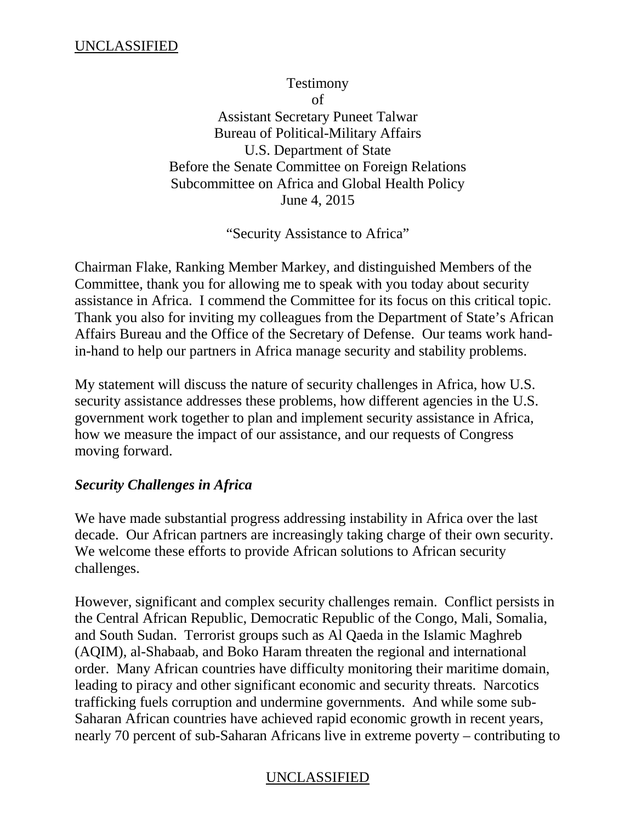Testimony of Assistant Secretary Puneet Talwar Bureau of Political-Military Affairs U.S. Department of State Before the Senate Committee on Foreign Relations Subcommittee on Africa and Global Health Policy June 4, 2015

"Security Assistance to Africa"

Chairman Flake, Ranking Member Markey, and distinguished Members of the Committee, thank you for allowing me to speak with you today about security assistance in Africa. I commend the Committee for its focus on this critical topic. Thank you also for inviting my colleagues from the Department of State's African Affairs Bureau and the Office of the Secretary of Defense. Our teams work handin-hand to help our partners in Africa manage security and stability problems.

My statement will discuss the nature of security challenges in Africa, how U.S. security assistance addresses these problems, how different agencies in the U.S. government work together to plan and implement security assistance in Africa, how we measure the impact of our assistance, and our requests of Congress moving forward.

# *Security Challenges in Africa*

We have made substantial progress addressing instability in Africa over the last decade. Our African partners are increasingly taking charge of their own security. We welcome these efforts to provide African solutions to African security challenges.

However, significant and complex security challenges remain. Conflict persists in the Central African Republic, Democratic Republic of the Congo, Mali, Somalia, and South Sudan. Terrorist groups such as Al Qaeda in the Islamic Maghreb (AQIM), al-Shabaab, and Boko Haram threaten the regional and international order. Many African countries have difficulty monitoring their maritime domain, leading to piracy and other significant economic and security threats. Narcotics trafficking fuels corruption and undermine governments. And while some sub-Saharan African countries have achieved rapid economic growth in recent years, nearly 70 percent of sub-Saharan Africans live in extreme poverty – contributing to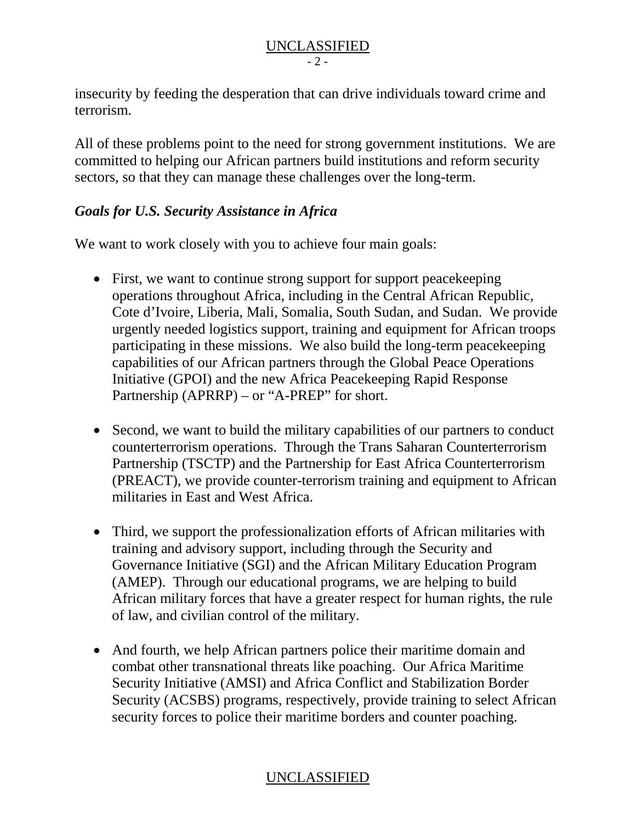#### UNCLASSIFIED  $-2 -$

insecurity by feeding the desperation that can drive individuals toward crime and terrorism.

All of these problems point to the need for strong government institutions. We are committed to helping our African partners build institutions and reform security sectors, so that they can manage these challenges over the long-term.

# *Goals for U.S. Security Assistance in Africa*

We want to work closely with you to achieve four main goals:

- First, we want to continue strong support for support peacekeeping operations throughout Africa, including in the Central African Republic, Cote d'Ivoire, Liberia, Mali, Somalia, South Sudan, and Sudan. We provide urgently needed logistics support, training and equipment for African troops participating in these missions. We also build the long-term peacekeeping capabilities of our African partners through the Global Peace Operations Initiative (GPOI) and the new Africa Peacekeeping Rapid Response Partnership (APRRP) – or "A-PREP" for short.
- Second, we want to build the military capabilities of our partners to conduct counterterrorism operations. Through the Trans Saharan Counterterrorism Partnership (TSCTP) and the Partnership for East Africa Counterterrorism (PREACT), we provide counter-terrorism training and equipment to African militaries in East and West Africa.
- Third, we support the professionalization efforts of African militaries with training and advisory support, including through the Security and Governance Initiative (SGI) and the African Military Education Program (AMEP). Through our educational programs, we are helping to build African military forces that have a greater respect for human rights, the rule of law, and civilian control of the military.
- And fourth, we help African partners police their maritime domain and combat other transnational threats like poaching. Our Africa Maritime Security Initiative (AMSI) and Africa Conflict and Stabilization Border Security (ACSBS) programs, respectively, provide training to select African security forces to police their maritime borders and counter poaching.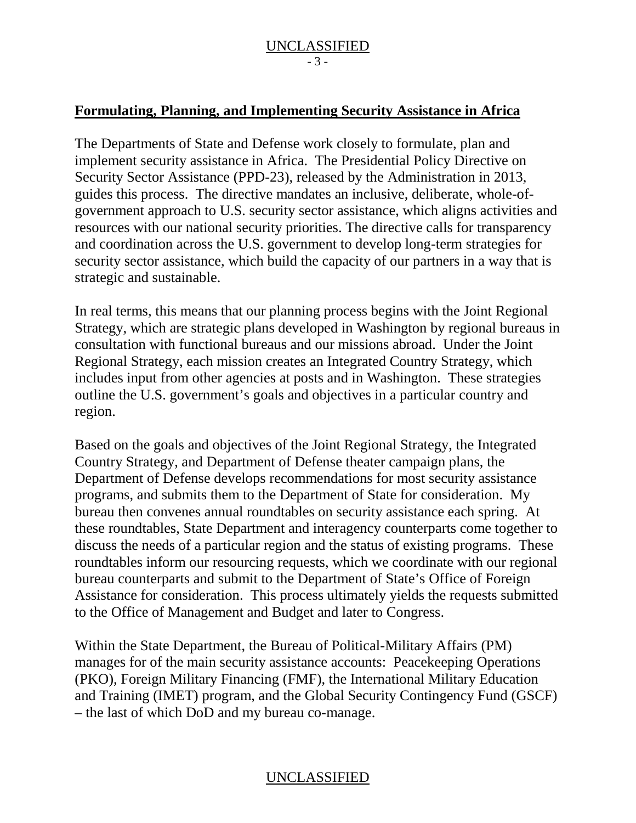### **Formulating, Planning, and Implementing Security Assistance in Africa**

The Departments of State and Defense work closely to formulate, plan and implement security assistance in Africa. The Presidential Policy Directive on Security Sector Assistance (PPD-23), released by the Administration in 2013, guides this process. The directive mandates an inclusive, deliberate, whole-ofgovernment approach to U.S. security sector assistance, which aligns activities and resources with our national security priorities. The directive calls for transparency and coordination across the U.S. government to develop long-term strategies for security sector assistance, which build the capacity of our partners in a way that is strategic and sustainable.

In real terms, this means that our planning process begins with the Joint Regional Strategy, which are strategic plans developed in Washington by regional bureaus in consultation with functional bureaus and our missions abroad. Under the Joint Regional Strategy, each mission creates an Integrated Country Strategy, which includes input from other agencies at posts and in Washington. These strategies outline the U.S. government's goals and objectives in a particular country and region.

Based on the goals and objectives of the Joint Regional Strategy, the Integrated Country Strategy, and Department of Defense theater campaign plans, the Department of Defense develops recommendations for most security assistance programs, and submits them to the Department of State for consideration. My bureau then convenes annual roundtables on security assistance each spring. At these roundtables, State Department and interagency counterparts come together to discuss the needs of a particular region and the status of existing programs. These roundtables inform our resourcing requests, which we coordinate with our regional bureau counterparts and submit to the Department of State's Office of Foreign Assistance for consideration. This process ultimately yields the requests submitted to the Office of Management and Budget and later to Congress.

Within the State Department, the Bureau of Political-Military Affairs (PM) manages for of the main security assistance accounts: Peacekeeping Operations (PKO), Foreign Military Financing (FMF), the International Military Education and Training (IMET) program, and the Global Security Contingency Fund (GSCF) – the last of which DoD and my bureau co-manage.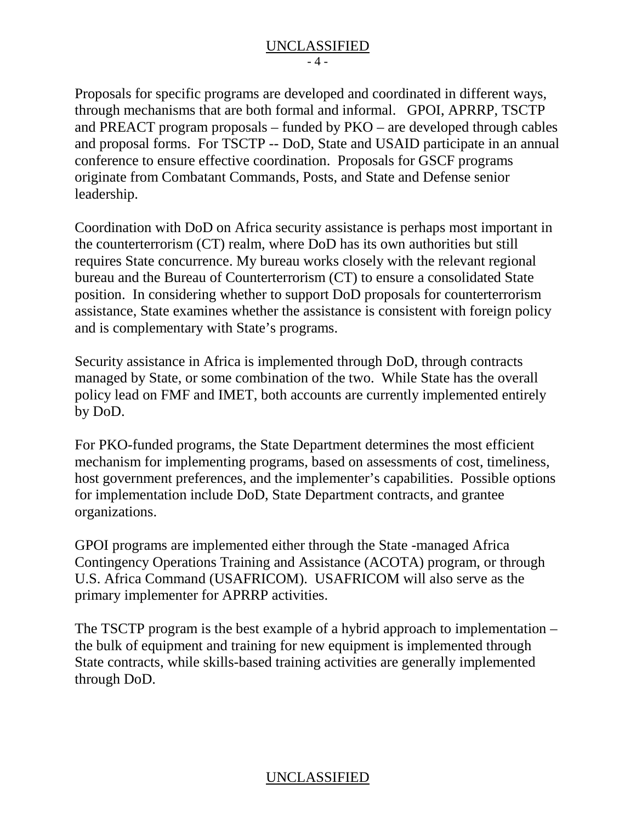Proposals for specific programs are developed and coordinated in different ways, through mechanisms that are both formal and informal. GPOI, APRRP, TSCTP and PREACT program proposals – funded by PKO – are developed through cables and proposal forms. For TSCTP -- DoD, State and USAID participate in an annual conference to ensure effective coordination. Proposals for GSCF programs originate from Combatant Commands, Posts, and State and Defense senior leadership.

Coordination with DoD on Africa security assistance is perhaps most important in the counterterrorism (CT) realm, where DoD has its own authorities but still requires State concurrence. My bureau works closely with the relevant regional bureau and the Bureau of Counterterrorism (CT) to ensure a consolidated State position. In considering whether to support DoD proposals for counterterrorism assistance, State examines whether the assistance is consistent with foreign policy and is complementary with State's programs.

Security assistance in Africa is implemented through DoD, through contracts managed by State, or some combination of the two. While State has the overall policy lead on FMF and IMET, both accounts are currently implemented entirely by DoD.

For PKO-funded programs, the State Department determines the most efficient mechanism for implementing programs, based on assessments of cost, timeliness, host government preferences, and the implementer's capabilities. Possible options for implementation include DoD, State Department contracts, and grantee organizations.

GPOI programs are implemented either through the State -managed Africa Contingency Operations Training and Assistance (ACOTA) program, or through U.S. Africa Command (USAFRICOM). USAFRICOM will also serve as the primary implementer for APRRP activities.

The TSCTP program is the best example of a hybrid approach to implementation – the bulk of equipment and training for new equipment is implemented through State contracts, while skills-based training activities are generally implemented through DoD.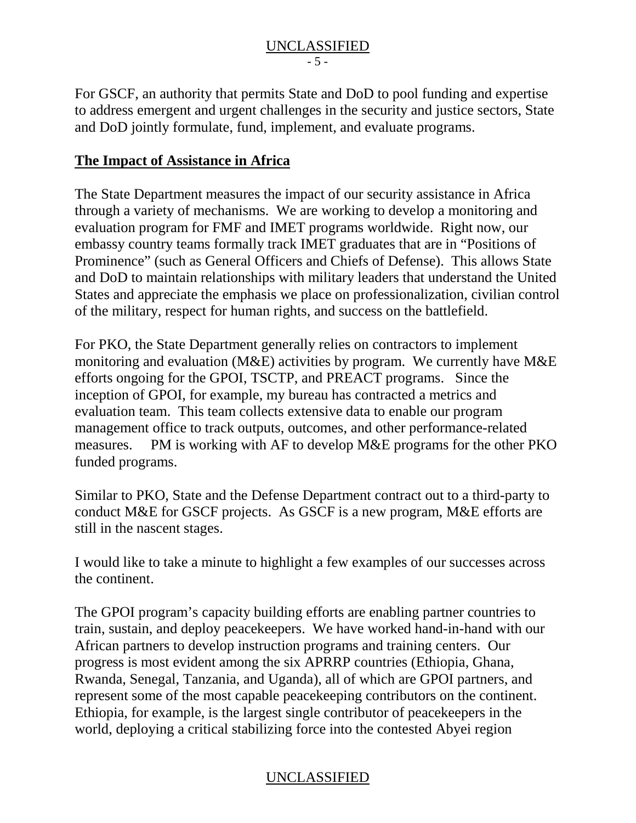#### UNCLASSIFIED  $-5 -$

For GSCF, an authority that permits State and DoD to pool funding and expertise to address emergent and urgent challenges in the security and justice sectors, State and DoD jointly formulate, fund, implement, and evaluate programs.

### **The Impact of Assistance in Africa**

The State Department measures the impact of our security assistance in Africa through a variety of mechanisms. We are working to develop a monitoring and evaluation program for FMF and IMET programs worldwide. Right now, our embassy country teams formally track IMET graduates that are in "Positions of Prominence" (such as General Officers and Chiefs of Defense). This allows State and DoD to maintain relationships with military leaders that understand the United States and appreciate the emphasis we place on professionalization, civilian control of the military, respect for human rights, and success on the battlefield.

For PKO, the State Department generally relies on contractors to implement monitoring and evaluation (M&E) activities by program. We currently have M&E efforts ongoing for the GPOI, TSCTP, and PREACT programs. Since the inception of GPOI, for example, my bureau has contracted a metrics and evaluation team. This team collects extensive data to enable our program management office to track outputs, outcomes, and other performance-related measures. PM is working with AF to develop M&E programs for the other PKO funded programs.

Similar to PKO, State and the Defense Department contract out to a third-party to conduct M&E for GSCF projects. As GSCF is a new program, M&E efforts are still in the nascent stages.

I would like to take a minute to highlight a few examples of our successes across the continent.

The GPOI program's capacity building efforts are enabling partner countries to train, sustain, and deploy peacekeepers. We have worked hand-in-hand with our African partners to develop instruction programs and training centers. Our progress is most evident among the six APRRP countries (Ethiopia, Ghana, Rwanda, Senegal, Tanzania, and Uganda), all of which are GPOI partners, and represent some of the most capable peacekeeping contributors on the continent. Ethiopia, for example, is the largest single contributor of peacekeepers in the world, deploying a critical stabilizing force into the contested Abyei region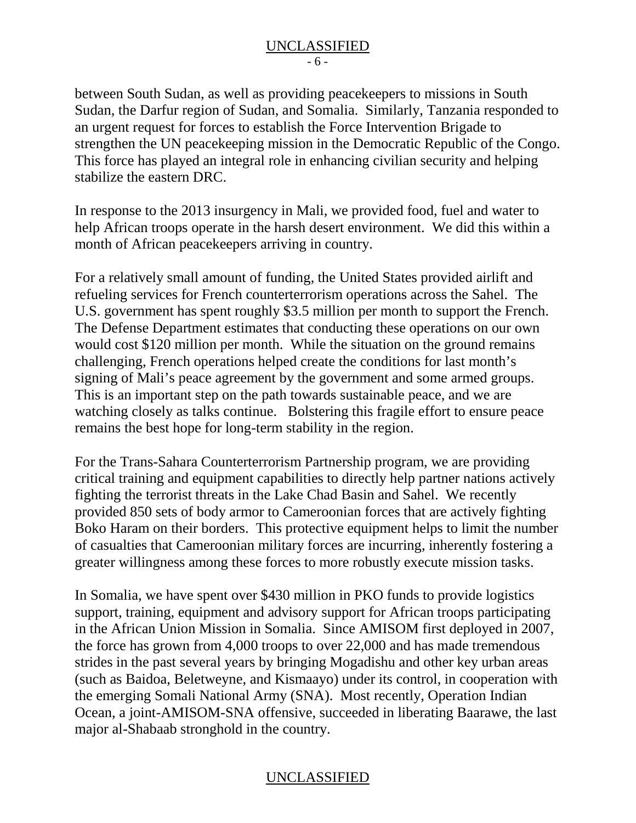between South Sudan, as well as providing peacekeepers to missions in South Sudan, the Darfur region of Sudan, and Somalia. Similarly, Tanzania responded to an urgent request for forces to establish the Force Intervention Brigade to strengthen the UN peacekeeping mission in the Democratic Republic of the Congo. This force has played an integral role in enhancing civilian security and helping stabilize the eastern DRC.

In response to the 2013 insurgency in Mali, we provided food, fuel and water to help African troops operate in the harsh desert environment. We did this within a month of African peacekeepers arriving in country.

For a relatively small amount of funding, the United States provided airlift and refueling services for French counterterrorism operations across the Sahel. The U.S. government has spent roughly \$3.5 million per month to support the French. The Defense Department estimates that conducting these operations on our own would cost \$120 million per month. While the situation on the ground remains challenging, French operations helped create the conditions for last month's signing of Mali's peace agreement by the government and some armed groups. This is an important step on the path towards sustainable peace, and we are watching closely as talks continue. Bolstering this fragile effort to ensure peace remains the best hope for long-term stability in the region.

For the Trans-Sahara Counterterrorism Partnership program, we are providing critical training and equipment capabilities to directly help partner nations actively fighting the terrorist threats in the Lake Chad Basin and Sahel. We recently provided 850 sets of body armor to Cameroonian forces that are actively fighting Boko Haram on their borders. This protective equipment helps to limit the number of casualties that Cameroonian military forces are incurring, inherently fostering a greater willingness among these forces to more robustly execute mission tasks.

In Somalia, we have spent over \$430 million in PKO funds to provide logistics support, training, equipment and advisory support for African troops participating in the African Union Mission in Somalia. Since AMISOM first deployed in 2007, the force has grown from 4,000 troops to over 22,000 and has made tremendous strides in the past several years by bringing Mogadishu and other key urban areas (such as Baidoa, Beletweyne, and Kismaayo) under its control, in cooperation with the emerging Somali National Army (SNA). Most recently, Operation Indian Ocean, a joint-AMISOM-SNA offensive, succeeded in liberating Baarawe, the last major al-Shabaab stronghold in the country.